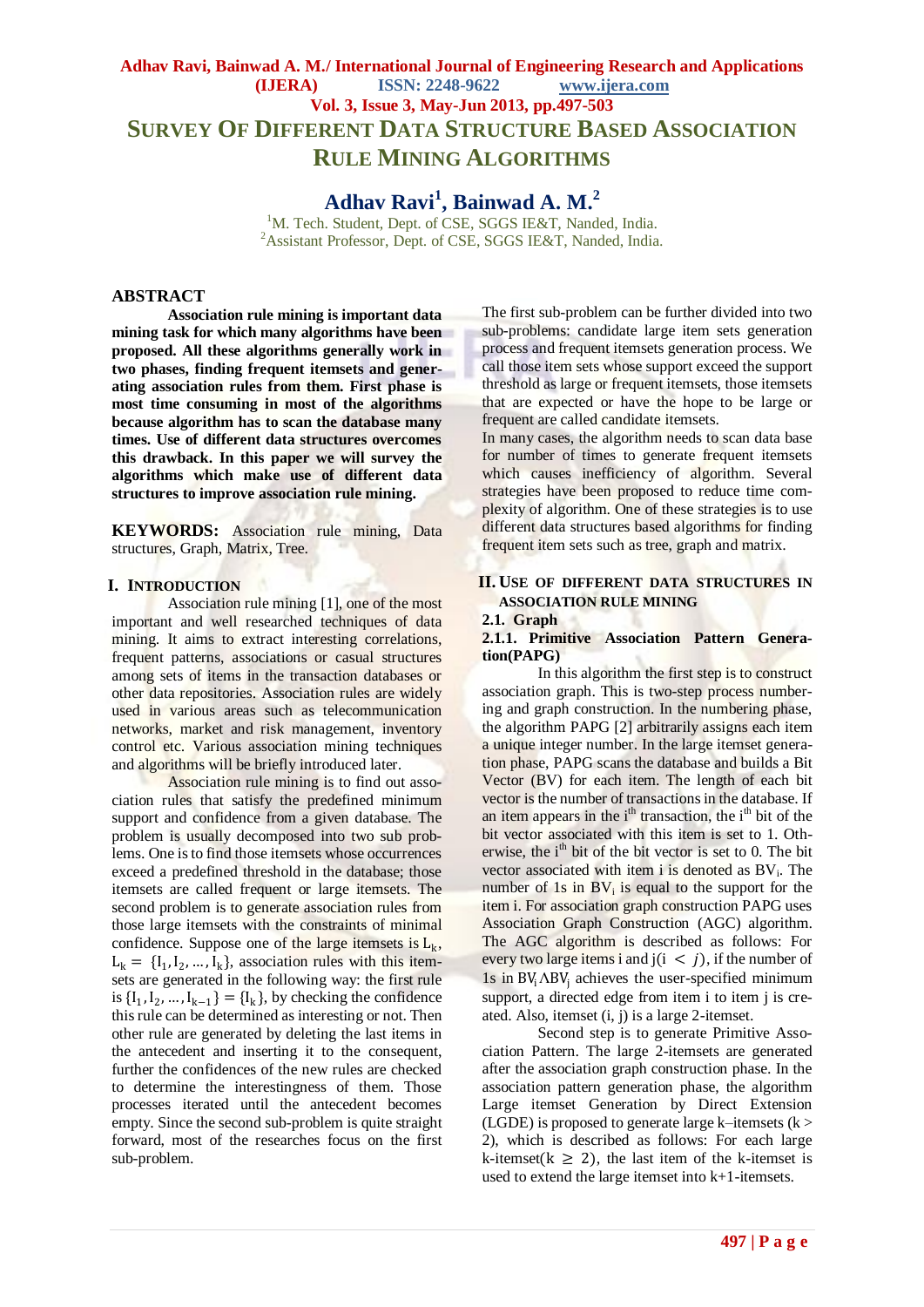# **Adhav Ravi, Bainwad A. M./ International Journal of Engineering Research and Applications (IJERA) ISSN: 2248-9622 www.ijera.com Vol. 3, Issue 3, May-Jun 2013, pp.497-503 SURVEY OF DIFFERENT DATA STRUCTURE BASED ASSOCIATION RULE MINING ALGORITHMS**

**Adhav Ravi<sup>1</sup> , Bainwad A. M. 2**

<sup>1</sup>M. Tech. Student, Dept. of CSE, SGGS IE&T, Nanded, India. <sup>2</sup>Assistant Professor, Dept. of CSE, SGGS IE&T, Nanded, India.

### **ABSTRACT**

**Association rule mining is important data mining task for which many algorithms have been proposed. All these algorithms generally work in two phases, finding frequent itemsets and generating association rules from them. First phase is most time consuming in most of the algorithms because algorithm has to scan the database many times. Use of different data structures overcomes this drawback. In this paper we will survey the algorithms which make use of different data structures to improve association rule mining.**

**KEYWORDS:** Association rule mining, Data structures, Graph, Matrix, Tree.

### **I. INTRODUCTION**

Association rule mining [1], one of the most important and well researched techniques of data mining. It aims to extract interesting correlations, frequent patterns, associations or casual structures among sets of items in the transaction databases or other data repositories. Association rules are widely used in various areas such as telecommunication networks, market and risk management, inventory control etc. Various association mining techniques and algorithms will be briefly introduced later.

Association rule mining is to find out association rules that satisfy the predefined minimum support and confidence from a given database. The problem is usually decomposed into two sub problems. One is to find those itemsets whose occurrences exceed a predefined threshold in the database; those itemsets are called frequent or large itemsets. The second problem is to generate association rules from those large itemsets with the constraints of minimal confidence. Suppose one of the large itemsets is  $L_k$ ,  $L_k = \{I_1, I_2, ..., I_k\}$ , association rules with this itemsets are generated in the following way: the first rule is  $\{I_1, I_2, ..., I_{k-1}\} = \{I_k\}$ , by checking the confidence this rule can be determined as interesting or not. Then other rule are generated by deleting the last items in the antecedent and inserting it to the consequent, further the confidences of the new rules are checked to determine the interestingness of them. Those processes iterated until the antecedent becomes empty. Since the second sub-problem is quite straight forward, most of the researches focus on the first sub-problem.

The first sub-problem can be further divided into two sub-problems: candidate large item sets generation process and frequent itemsets generation process. We call those item sets whose support exceed the support threshold as large or frequent itemsets, those itemsets that are expected or have the hope to be large or frequent are called candidate itemsets.

In many cases, the algorithm needs to scan data base for number of times to generate frequent itemsets which causes inefficiency of algorithm. Several strategies have been proposed to reduce time complexity of algorithm. One of these strategies is to use different data structures based algorithms for finding frequent item sets such as tree, graph and matrix.

### **II.** USE OF DIFFERENT DATA STRUCTURES IN **ASSOCIATION RULE MINING**

#### **2.1. Graph**

### **2.1.1. Primitive Association Pattern Generation(PAPG)**

In this algorithm the first step is to construct association graph. This is two-step process numbering and graph construction. In the numbering phase, the algorithm PAPG [2] arbitrarily assigns each item a unique integer number. In the large itemset generation phase, PAPG scans the database and builds a Bit Vector (BV) for each item. The length of each bit vector is the number of transactions in the database. If an item appears in the i<sup>th</sup> transaction, the i<sup>th</sup> bit of the bit vector associated with this item is set to 1. Otherwise, the i<sup>th</sup> bit of the bit vector is set to 0. The bit vector associated with item i is denoted as  $BV_i$ . The number of  $1s$  in  $BV_i$  is equal to the support for the item i. For association graph construction PAPG uses Association Graph Construction (AGC) algorithm. The AGC algorithm is described as follows: For every two large items i and  $j(i < j)$ , if the number of 1s in  $BV_i \triangle BV_i$  achieves the user-specified minimum support, a directed edge from item i to item j is created. Also, itemset (i, j) is a large 2-itemset.

Second step is to generate Primitive Association Pattern. The large 2-itemsets are generated after the association graph construction phase. In the association pattern generation phase, the algorithm Large itemset Generation by Direct Extension (LGDE) is proposed to generate large k–itemsets  $(k > 1)$ 2), which is described as follows: For each large k-itemset( $k \ge 2$ ), the last item of the k-itemset is used to extend the large itemset into k+1-itemsets.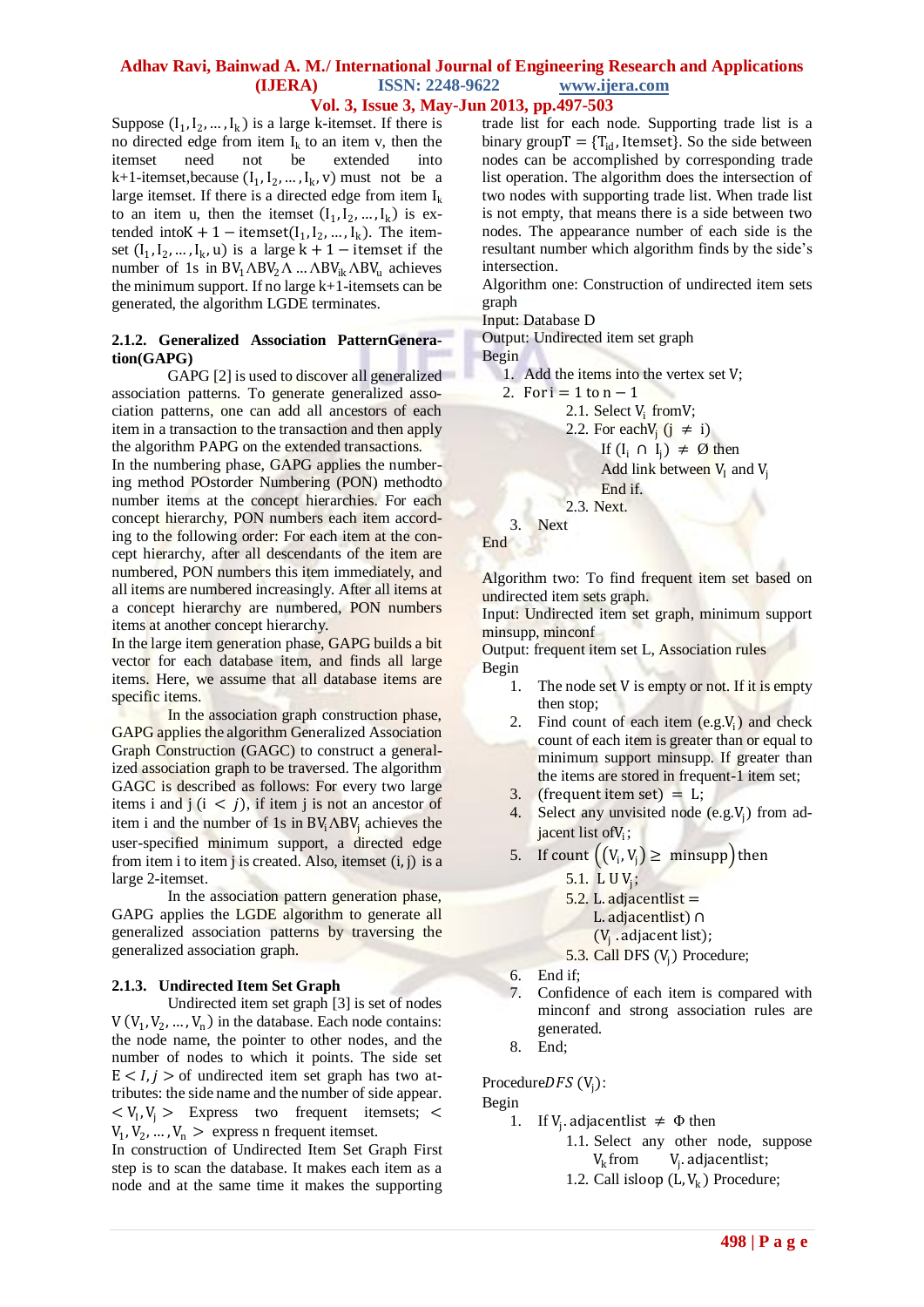Suppose  $(I_1, I_2, ..., I_k)$  is a large k-itemset. If there is no directed edge from item  $I_k$  to an item v, then the itemset need not be extended into  $k+1$ -itemset, because  $(I_1, I_2, ..., I_k, v)$  must not be a large itemset. If there is a directed edge from item  $I_k$ to an item u, then the itemset  $(I_1, I_2, ..., I_k)$  is extended into  $K + 1 - \text{itemset}(I_1, I_2, ..., I_k)$ . The itemset  $(I_1, I_2, ..., I_k, u)$  is a large  $k + 1$  – itemset if the number of 1s in  $BV_1 \triangle BV_2 \triangle$  ...  $\triangle BV_{ik} \triangle BV_{li}$  achieves the minimum support. If no large  $k+1$ -itemsets can be generated, the algorithm LGDE terminates.

### **2.1.2. Generalized Association PatternGeneration(GAPG)**

GAPG [2] is used to discover all generalized association patterns. To generate generalized association patterns, one can add all ancestors of each item in a transaction to the transaction and then apply the algorithm PAPG on the extended transactions.

In the numbering phase, GAPG applies the numbering method POstorder Numbering (PON) methodto number items at the concept hierarchies. For each concept hierarchy, PON numbers each item according to the following order: For each item at the concept hierarchy, after all descendants of the item are numbered, PON numbers this item immediately, and all items are numbered increasingly. After all items at a concept hierarchy are numbered, PON numbers items at another concept hierarchy.

In the large item generation phase, GAPG builds a bit vector for each database item, and finds all large items. Here, we assume that all database items are specific items.

In the association graph construction phase, GAPG applies the algorithm Generalized Association Graph Construction (GAGC) to construct a generalized association graph to be traversed. The algorithm GAGC is described as follows: For every two large items i and  $j$  ( $i < j$ ), if item j is not an ancestor of item i and the number of 1s in  $BV_i \triangle BV_i$  achieves the user-specified minimum support, a directed edge from item i to item j is created. Also, itemset (i, j) is a large 2-itemset.

In the association pattern generation phase, GAPG applies the LGDE algorithm to generate all generalized association patterns by traversing the generalized association graph.

### **2.1.3. Undirected Item Set Graph**

Undirected item set graph [3] is set of nodes  $V(V_1, V_2, ..., V_n)$  in the database. Each node contains: the node name, the pointer to other nodes, and the number of nodes to which it points. The side set  $E < I, j >$  of undirected item set graph has two attributes: the side name and the number of side appear.  $\langle V_1, V_j \rangle$  Express two frequent itemsets;  $\langle V_1, V_j \rangle$  $V_1, V_2, ..., V_n$  > express n frequent itemset.

In construction of Undirected Item Set Graph First step is to scan the database. It makes each item as a node and at the same time it makes the supporting

trade list for each node. Supporting trade list is a binary group  $T = \{T_{id},$  Itemset}. So the side between nodes can be accomplished by corresponding trade list operation. The algorithm does the intersection of two nodes with supporting trade list. When trade list is not empty, that means there is a side between two nodes. The appearance number of each side is the resultant number which algorithm finds by the side"s intersection.

Algorithm one: Construction of undirected item sets graph

Input: Database D

Output: Undirected item set graph

Begin

1. Add the items into the vertex set V;

- 2. For  $i = 1$  to  $n 1$ 
	- 2.1. Select V<sub>i</sub> from V;
	- 2.2. For each  $V_j$  ( $j \neq i$ )
		- If  $(I_i \cap I_j) \neq \emptyset$  then

Add link between  $V<sub>I</sub>$  and  $V<sub>i</sub>$ 

End if.

2.3. Next.

3. Next

End

Algorithm two: To find frequent item set based on undirected item sets graph.

Input: Undirected item set graph, minimum support minsupp, minconf

Output: frequent item set L, Association rules Begin

- 1. The node set V is empty or not. If it is empty then stop;
- 2. Find count of each item  $(e.g.V<sub>i</sub>)$  and check count of each item is greater than or equal to minimum support minsupp. If greater than the items are stored in frequent-1 item set;
- 3. (frequent item set)  $=$  L;
- 4. Select any unvisited node  $(e.g.V<sub>j</sub>)$  from adjacent list of V<sub>i</sub>;
- 5. If count  $((V_i, V_j) \geq \text{minsupp})$  then
	- 5.1. L  $UV_j$ ;
	- 5.2. L. adjacentlist  $=$ 
		- L. adjacentlist) ∩
		- $(V_j \cdot \text{adjacent list});$
	- 5.3. Call DFS  $(V_j)$  Procedure;
- 6. End if;
- 7. Confidence of each item is compared with minconf and strong association rules are generated.
- 8. End;

Procedure $DFS (V_j)$ :

Begin

- 1. If  $V_j$  adjacentlist  $\neq \Phi$  then
	- 1.1. Select any other node, suppose  $V_k$  from  $V_j$  $V_i$ . adjacentlist;
	- 1.2. Call isloop  $(L, V_k)$  Procedure;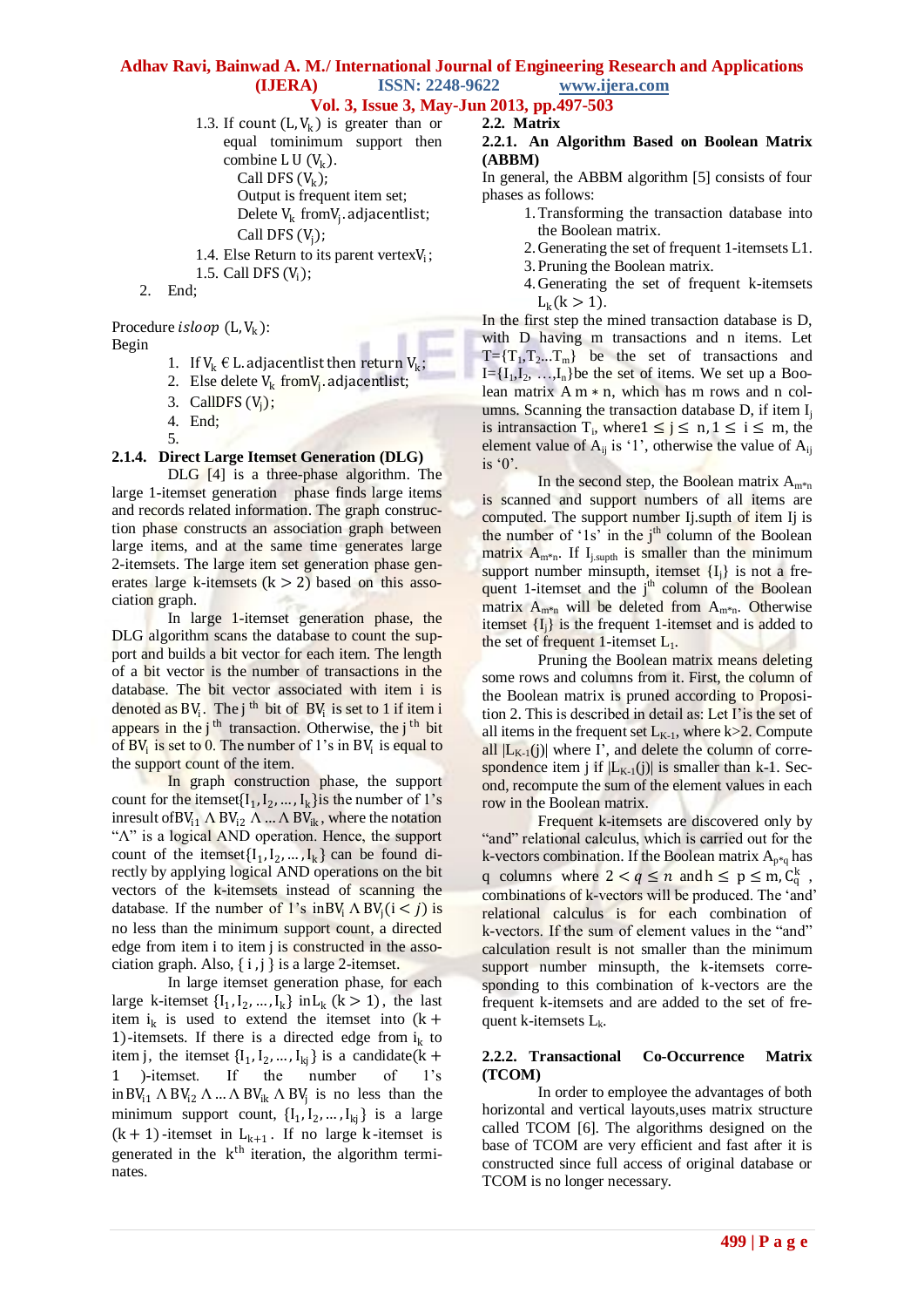1.3. If count  $(L, V_k)$  is greater than or equal tominimum support then combine L  $U(V_k)$ .

- Call DFS  $(V_k)$ ; Output is frequent item set; Delete  $V_k$  from $V_j$  adjacentlist;
- Call DFS  $(V_j)$ ;
- 1.4. Else Return to its parent vertex $V_i$ ;
- 1.5. Call DFS  $(V_i)$ ;
- 2. End;

# Procedure *isloop*  $(L, V_k)$ :

Begin

- 1. If  $V_k \notin L$  adjacentlist then return  $V_k$ ;
- 2. Else delete  $V_k$  from  $V_j$  adjacentlist;
- 3. CallDFS  $(V_j)$ ;
- 4. End;
- 5.

### **2.1.4. Direct Large Itemset Generation (DLG)**

DLG [4] is a three-phase algorithm. The large 1-itemset generation phase finds large items and records related information. The graph construction phase constructs an association graph between large items, and at the same time generates large 2-itemsets. The large item set generation phase generates large k-itemsets  $(k > 2)$  based on this association graph.

In large 1-itemset generation phase, the DLG algorithm scans the database to count the support and builds a bit vector for each item. The length of a bit vector is the number of transactions in the database. The bit vector associated with item i is denoted as  $BV_i$ . The j<sup>th</sup> bit of  $BV_i$  is set to 1 if item i appears in the  $j<sup>th</sup>$  transaction. Otherwise, the  $j<sup>th</sup>$  bit of  $BV_i$  is set to 0. The number of 1's in  $BV_i$  is equal to the support count of the item.

In graph construction phase, the support count for the itemset $\{I_1, I_2, ..., I_k\}$  is the number of 1's inresult of BV<sub>i1</sub>  $\Lambda$  BV<sub>i2</sub>  $\Lambda$  ...  $\Lambda$  BV<sub>ik</sub>, where the notation "Λ" is a logical AND operation. Hence, the support count of the itemset  $\{I_1, I_2, ..., I_k\}$  can be found directly by applying logical AND operations on the bit vectors of the k-itemsets instead of scanning the database. If the number of 1's in BV<sub>i</sub>  $\Lambda$  BV<sub>j</sub>(i < j) is no less than the minimum support count, a directed edge from item i to item j is constructed in the association graph. Also,  $\{i, j\}$  is a large 2-itemset.

In large itemset generation phase, for each large k-itemset  $\{I_1, I_2, ..., I_k\}$  in  $L_k$  ( $k > 1$ ), the last item  $i_k$  is used to extend the itemset into  $(k +$ 1)-itemsets. If there is a directed edge from  $i_k$  to item j, the itemset  $\{I_1, I_2, ..., I_{kj}\}$  is a candidate (k + )-itemset. If the number of 1's in  $BV_{11} \wedge BV_{12} \wedge ... \wedge BV_{ik} \wedge BV_j$  is no less than the minimum support count,  $\{I_1, I_2, ..., I_{kj}\}$  is a large  $(k + 1)$ -itemset in  $L_{k+1}$ . If no large k-itemset is generated in the k<sup>th</sup> iteration, the algorithm terminates.

#### **2.2. Matrix 2.2.1. An Algorithm Based on Boolean Matrix (ABBM)**

In general, the ABBM algorithm [5] consists of four phases as follows:

- 1.Transforming the transaction database into the Boolean matrix.
- 2.Generating the set of frequent 1-itemsets L1.
- 3.Pruning the Boolean matrix.
- 4.Generating the set of frequent k-itemsets  $L_k$ (k > 1).

In the first step the mined transaction database is D, with D having m transactions and n items. Let  $T=\{T_1,T_2...T_m\}$  be the set of transactions and  $I = \{I_1, I_2, \ldots, I_n\}$  be the set of items. We set up a Boolean matrix  $A m * n$ , which has m rows and n columns. Scanning the transaction database  $D$ , if item  $I_i$ is intransaction  $T_i$ , where  $1 \le j \le n, 1 \le i \le m$ , the element value of  $A_{ii}$  is '1', otherwise the value of  $A_{ii}$ is  $0$ .

In the second step, the Boolean matrix  $A_{m^*n}$ is scanned and support numbers of all items are computed. The support number Ij. supth of item Ij is the number of  $1s'$  in the  $i<sup>th</sup>$  column of the Boolean matrix  $A_{m*n}$ . If  $I_{i,suptn}$  is smaller than the minimum support number minsupth, itemset  ${I_i}$  is not a frequent 1-itemset and the  $j<sup>th</sup>$  column of the Boolean matrix  $A_{m^*n}$  will be deleted from  $A_{m^*n}$ . Otherwise itemset  ${I_i}$  is the frequent 1-itemset and is added to the set of frequent 1-itemset  $L_1$ .

Pruning the Boolean matrix means deleting some rows and columns from it. First, the column of the Boolean matrix is pruned according to Proposition 2. This is described in detail as: Let I"is the set of all items in the frequent set  $L_{K-1}$ , where k>2. Compute all  $|L_{K-1}(j)|$  where I', and delete the column of correspondence item j if  $|L_{K-1}(j)|$  is smaller than k-1. Second, recompute the sum of the element values in each row in the Boolean matrix.

Frequent k-itemsets are discovered only by "and" relational calculus, which is carried out for the k-vectors combination. If the Boolean matrix  $A_{p*q}$  has q columns where  $2 < q \le n$  and  $h \le p \le m$ ,  $C_q^k$ , combinations of k-vectors will be produced. The "and" relational calculus is for each combination of k-vectors. If the sum of element values in the "and" calculation result is not smaller than the minimum support number minsupth, the k-itemsets corresponding to this combination of k-vectors are the frequent k-itemsets and are added to the set of frequent k-itemsets  $L_k$ .

### **2.2.2. Transactional Co-Occurrence Matrix (TCOM)**

In order to employee the advantages of both horizontal and vertical layouts,uses matrix structure called TCOM [6]. The algorithms designed on the base of TCOM are very efficient and fast after it is constructed since full access of original database or TCOM is no longer necessary.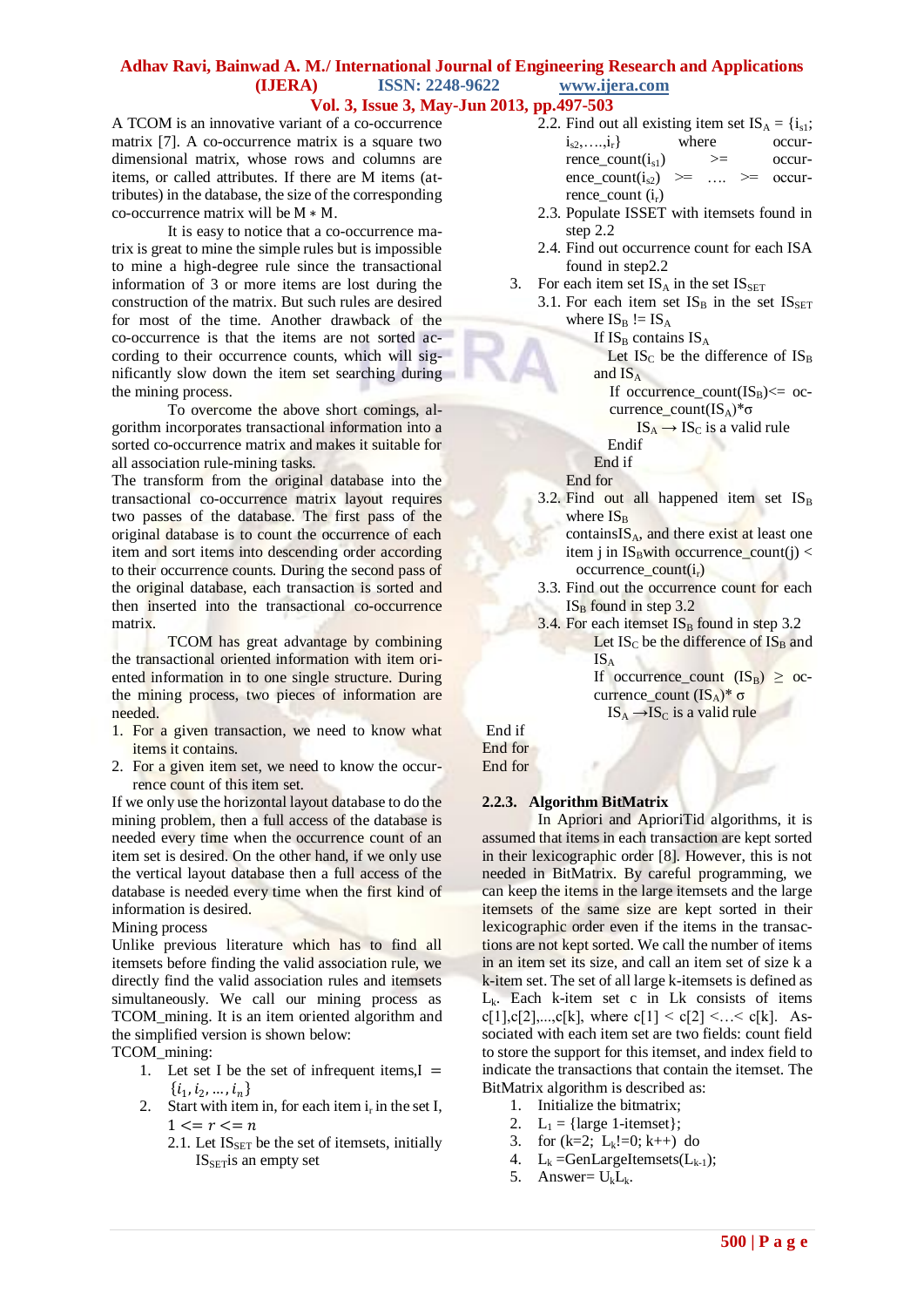A TCOM is an innovative variant of a co-occurrence matrix [7]. A co-occurrence matrix is a square two dimensional matrix, whose rows and columns are items, or called attributes. If there are M items (attributes) in the database, the size of the corresponding co-occurrence matrix will be M ∗ M.

It is easy to notice that a co-occurrence matrix is great to mine the simple rules but is impossible to mine a high-degree rule since the transactional information of 3 or more items are lost during the construction of the matrix. But such rules are desired for most of the time. Another drawback of the co-occurrence is that the items are not sorted according to their occurrence counts, which will significantly slow down the item set searching during the mining process.

To overcome the above short comings, algorithm incorporates transactional information into a sorted co-occurrence matrix and makes it suitable for all association rule-mining tasks.

The transform from the original database into the transactional co-occurrence matrix layout requires two passes of the database. The first pass of the original database is to count the occurrence of each item and sort items into descending order according to their occurrence counts. During the second pass of the original database, each transaction is sorted and then inserted into the transactional co-occurrence matrix.

TCOM has great advantage by combining the transactional oriented information with item oriented information in to one single structure. During the mining process, two pieces of information are needed.

- 1. For a given transaction, we need to know what items it contains.
- 2. For a given item set, we need to know the occurrence count of this item set.

If we only use the horizontal layout database to do the mining problem, then a full access of the database is needed every time when the occurrence count of an item set is desired. On the other hand, if we only use the vertical layout database then a full access of the database is needed every time when the first kind of information is desired.

Mining process

Unlike previous literature which has to find all itemsets before finding the valid association rule, we directly find the valid association rules and itemsets simultaneously. We call our mining process as TCOM\_mining. It is an item oriented algorithm and the simplified version is shown below:

TCOM\_mining:

- 1. Let set I be the set of infrequent items, $I =$  $\{i_1, i_2, ..., i_n\}$
- 2. Start with item in, for each item  $i_r$  in the set I,  $1 \le r \le n$ 
	- 2.1. Let  $IS_{SET}$  be the set of itemsets, initially IS<sub>SET</sub>is an empty set

| 2.2. Find out all existing item set $IS_A = \{i_{s1};$ |                 |              |  |
|--------------------------------------------------------|-----------------|--------------|--|
| $i_{s2},,i_{r}$                                        | where           | occur-       |  |
| rence $count(i_{s1})$                                  | $>=$            | occur-       |  |
| $ence\_count(i_{s2})$                                  | —>≕<br>$\ldots$ | occur-<br>>= |  |
| rence_count $(i_r)$                                    |                 |              |  |

- 2.3. Populate ISSET with itemsets found in step 2.2
- 2.4. Find out occurrence count for each ISA found in step2.2
- 3. For each item set  $IS_A$  in the set  $IS_{SET}$ 
	- 3.1. For each item set  $IS_B$  in the set  $IS_{SET}$ where  $IS_B := IS_A$ 
		- If  $IS_B$  contains  $IS_A$

Let  $IS_C$  be the difference of  $IS_B$ and  $IS_A$ 

- If occurrence\_count( $IS_B$ ) $<=$  occurrence\_count(IS<sub>A</sub>)\*σ
	- $IS_A \rightarrow IS_C$  is a valid rule
- Endif
- End if

End for

- 3.2. Find out all happened item set  $IS_B$ where  $IS_B$ 
	- contains $IS_A$ , and there exist at least one item j in  $IS_B$ with occurrence\_count(j) <  $occurrence\_count(i_r)$
- 3.3. Find out the occurrence count for each  $IS_B$  found in step 3.2
- 3.4. For each itemset  $IS_B$  found in step 3.2 Let  $IS_C$  be the difference of  $IS_B$  and IS<sup>A</sup>

If occurrence\_count  $(IS_B) \geq oc$ currence\_count  $(IS<sub>A</sub>)^*$  σ  $IS_A \rightarrow IS_C$  is a valid rule

End if End for End for

# **2.2.3. Algorithm BitMatrix**

In Apriori and AprioriTid algorithms, it is assumed that items in each transaction are kept sorted in their lexicographic order [8]. However, this is not needed in BitMatrix. By careful programming, we can keep the items in the large itemsets and the large itemsets of the same size are kept sorted in their lexicographic order even if the items in the transactions are not kept sorted. We call the number of items in an item set its size, and call an item set of size k a k-item set. The set of all large k-itemsets is defined as  $L_k$ . Each k-item set c in Lk consists of items c[1],c[2],...,c[k], where c[1] < c[2] <... < c[k]. Associated with each item set are two fields: count field to store the support for this itemset, and index field to indicate the transactions that contain the itemset. The BitMatrix algorithm is described as:

- 1. Initialize the bitmatrix;
- 2.  $L_1 = \{ \text{large } 1\text{-itemset} \};$
- 3. for  $(k=2; L_k!=0; k++)$  do
- 4.  $L_k = GenLargeItemsets(L_{k-1});$
- 5. Answer=  $U_kL_k$ .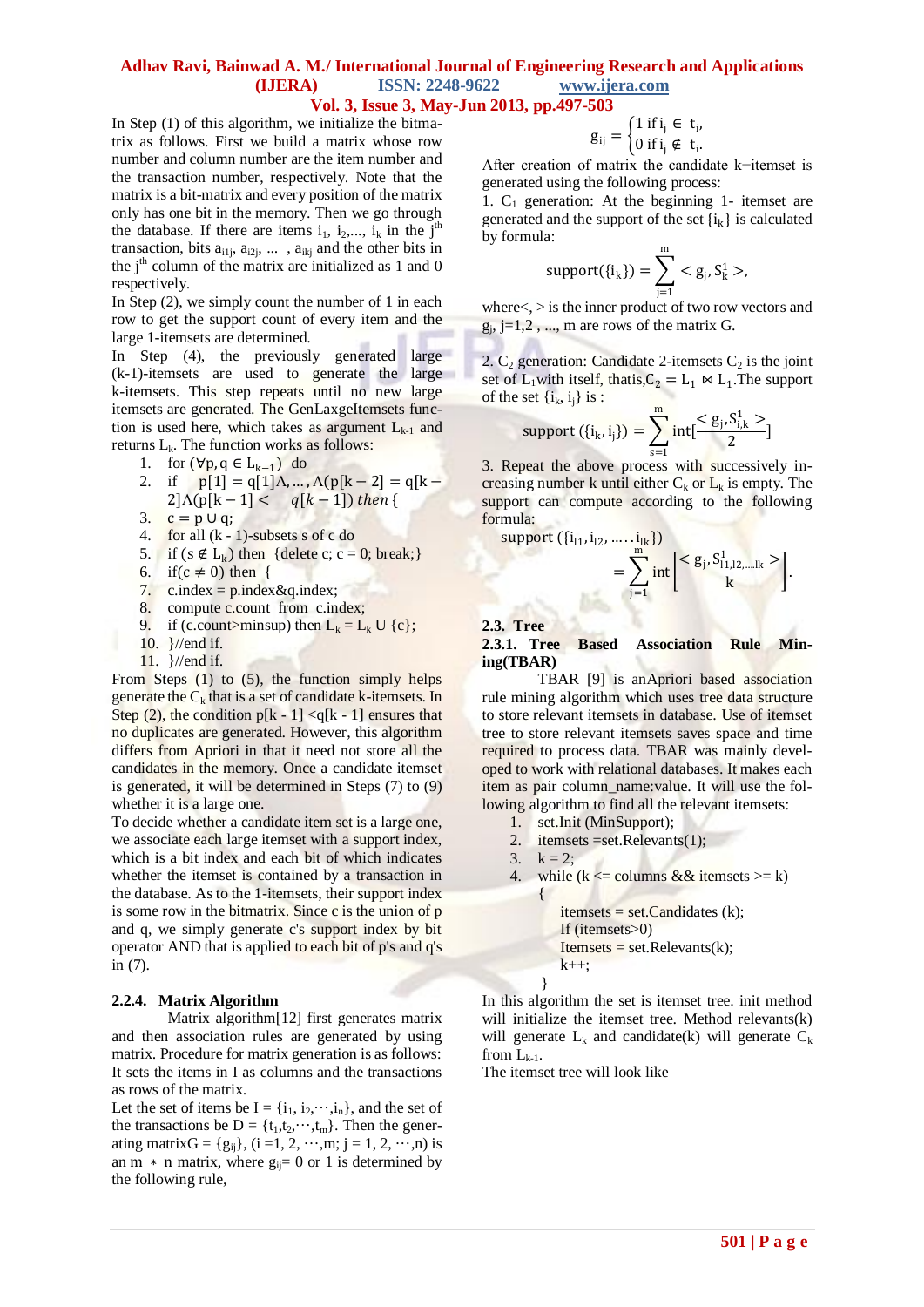In Step (1) of this algorithm, we initialize the bitmatrix as follows. First we build a matrix whose row number and column number are the item number and the transaction number, respectively. Note that the matrix is a bit-matrix and every position of the matrix only has one bit in the memory. Then we go through the database. If there are items  $i_1$ ,  $i_2$ ,...,  $i_k$  in the j<sup>th</sup> transaction, bits  $a_{i1j}$ ,  $a_{i2j}$ , ...,  $a_{ikj}$  and the other bits in the  $j<sup>th</sup>$  column of the matrix are initialized as 1 and 0 respectively.

In Step (2), we simply count the number of 1 in each row to get the support count of every item and the large 1-itemsets are determined.

In Step (4), the previously generated large (k-1)-itemsets are used to generate the large k-itemsets. This step repeats until no new large itemsets are generated. The GenLaxgeItemsets function is used here, which takes as argument  $L_{k-1}$  and returns  $L_k$ . The function works as follows:

- 1. for  $(\forall p, q \in L_{k-1})$  do
- 2. if  $p[1] = q[1]\Lambda, ..., \Lambda(p[k-2] = q[k-1]$  $2]\Lambda(p[k-1] < q[k-1])$  then {
- 3.  $c = p \cup q$ ;
- 4. for all (k 1)-subsets s of c do
- 5. if  $(s \notin L_k)$  then {delete c; c = 0; break;}
- 6. if  $(c \neq 0)$  then {
- 7. c.index =  $p$ .index &  $q$ .index;
- 8. compute c.count from c.index;
- 9. if (c.count>minsup) then  $L_k = L_k U$  {c};
- 10. }//end if.
- 11. }//end if.

From Steps (1) to (5), the function simply helps generate the  $C_k$  that is a set of candidate k-itemsets. In Step  $(2)$ , the condition p[k - 1] <q[k - 1] ensures that no duplicates are generated. However, this algorithm differs from Apriori in that it need not store all the candidates in the memory. Once a candidate itemset is generated, it will be determined in Steps (7) to (9) whether it is a large one.

To decide whether a candidate item set is a large one, we associate each large itemset with a support index, which is a bit index and each bit of which indicates whether the itemset is contained by a transaction in the database. As to the 1-itemsets, their support index is some row in the bitmatrix. Since  $\tilde{c}$  is the union of  $\tilde{p}$ and q, we simply generate c's support index by bit operator AND that is applied to each bit of p's and q's in (7).

#### **2.2.4. Matrix Algorithm**

Matrix algorithm[12] first generates matrix and then association rules are generated by using matrix. Procedure for matrix generation is as follows: It sets the items in I as columns and the transactions as rows of the matrix.

Let the set of items be  $I = \{i_1, i_2, \dots, i_n\}$ , and the set of the transactions be  $D = \{t_1, t_2, \dots, t_m\}$ . Then the generating matrix $G = \{g_{ii}\}, (i = 1, 2, \dots, m; j = 1, 2, \dots, n)$  is an m  $*$  n matrix, where  $g_{ij}= 0$  or 1 is determined by the following rule,

$$
g_{ij} = \begin{cases} 1 \text{ if } i_j \in t_i, \\ 0 \text{ if } i_j \notin t_i. \end{cases}
$$

After creation of matrix the candidate k−itemset is generated using the following process:

1.  $C_1$  generation: At the beginning 1- itemset are generated and the support of the set  $\{i_k\}$  is calculated by formula:

support(
$$
\{i_k\}
$$
) =  $\sum_{j=1}^{m} < g_j, S_k^1 >$ ,

where<, > is the inner product of two row vectors and  $g_j$ , j=1,2, ..., m are rows of the matrix G.

2.  $C_2$  generation: Candidate 2-itemsets  $C_2$  is the joint set of  $L_1$  with itself, that is,  $C_2 = L_1 \bowtie L_1$ . The support of the set  $\{i_k, i_j\}$  is :

support 
$$
(\{i_k, i_j\}) = \sum_{s=1}^{m} int[\frac{}{2}]
$$

3. Repeat the above process with successively increasing number k until either  $C_k$  or  $L_k$  is empty. The support can compute according to the following formula:

 $\text{support } (\{i_{11}, i_{12}, \ldots, i_{lk}\})$ 

$$
= \sum_{j=1}^{m} \text{int} \left[ \frac{}{k} \right].
$$

**2.3. Tree**

### **2.3.1. Tree Based Association Rule Mining(TBAR)**

TBAR [9] is anApriori based association rule mining algorithm which uses tree data structure to store relevant itemsets in database. Use of itemset tree to store relevant itemsets saves space and time required to process data. TBAR was mainly developed to work with relational databases. It makes each item as pair column\_name:value. It will use the following algorithm to find all the relevant itemsets:

- 1. set.Init (MinSupport);
- 2. itemsets =set.Relevants(1);

$$
3. \quad k=2;
$$

}

4. while  $(k \leq$  columns && itemsets  $>= k$ ) {

 $itemsets = set.Candidates (k);$ If (itemsets>0)  $I$ temsets = set.Relevants $(k)$ ;  $k++$ ;

In this algorithm the set is itemset tree. init method will initialize the itemset tree. Method relevants(k) will generate  $L_k$  and candidate(k) will generate  $C_k$ from  $L_{k-1}$ .

The itemset tree will look like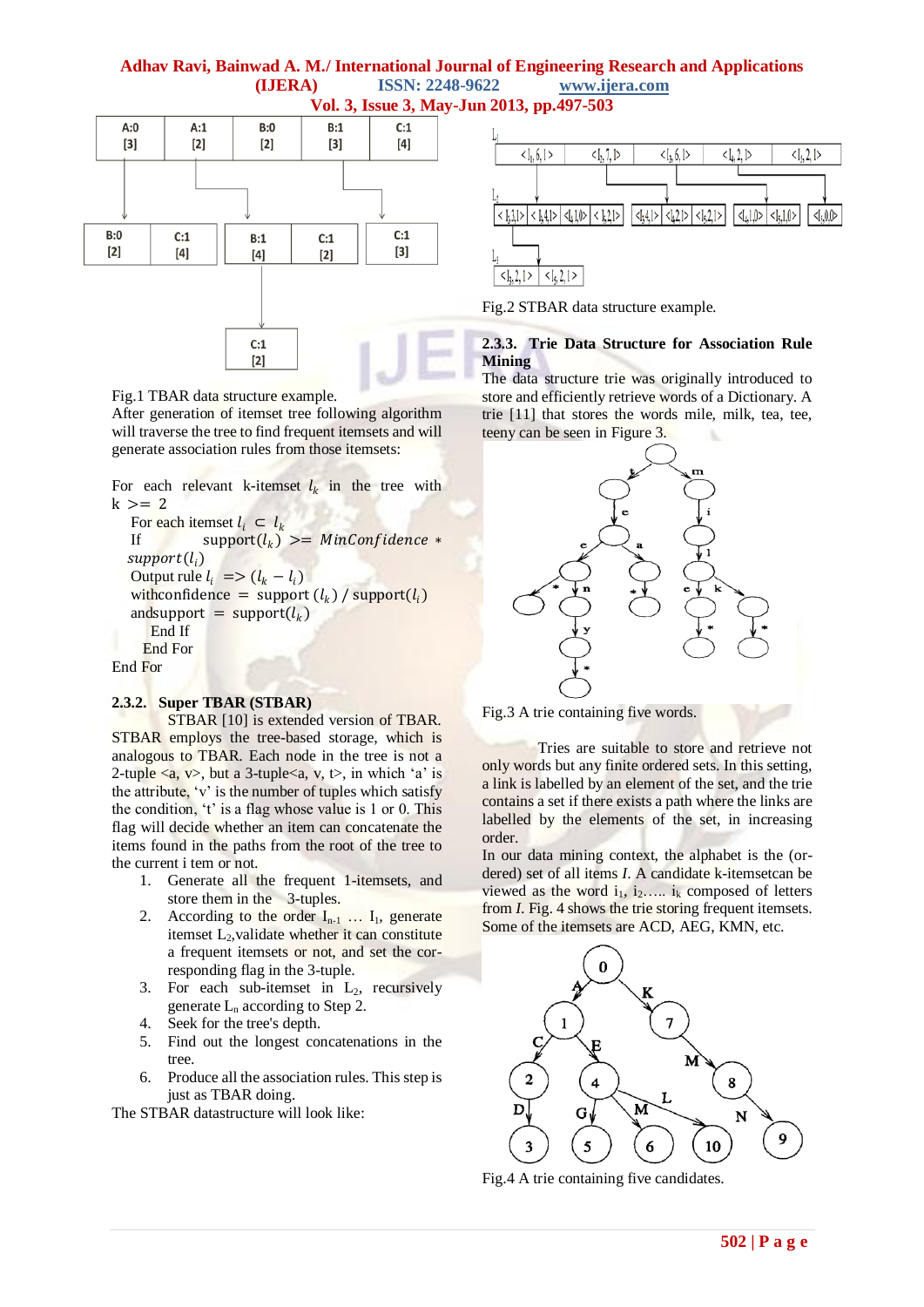# **Adhav Ravi, Bainwad A. M./ International Journal of Engineering Research and Applications (IJERA) ISSN: 2248-9622 www.ijera.com**



# **Vol. 3, Issue 3, May-Jun 2013, pp.497-503**



Fig.2 STBAR data structure example.

## **2.3.3. Trie Data Structure for Association Rule Mining**

The data structure trie was originally introduced to store and efficiently retrieve words of a Dictionary. A trie [11] that stores the words mile, milk, tea, tee, teeny can be seen in Figure 3.



Fig.3 A trie containing five words.

Tries are suitable to store and retrieve not only words but any finite ordered sets. In this setting, a link is labelled by an element of the set, and the trie contains a set if there exists a path where the links are labelled by the elements of the set, in increasing order.

In our data mining context, the alphabet is the (ordered) set of all items *I*. A candidate k-itemsetcan be viewed as the word  $i_1$ ,  $i_2$ .....  $i_k$  composed of letters from *I*. Fig. 4 shows the trie storing frequent itemsets. Some of the itemsets are ACD, AEG, KMN, etc.



Fig.4 A trie containing five candidates.

### Fig.1 TBAR data structure example.

After generation of itemset tree following algorithm will traverse the tree to find frequent itemsets and will generate association rules from those itemsets:

For each relevant k-itemset  $l_k$  in the tree with  $k \geq 2$ 

For each itemset  $l_i \subset l_k$ <br>If support $(l_k)$ If  $\qquad \qquad \text{support}(l_k) >= \text{MinConfidence} *$  ${\it support}(l_i)$ Output rule  $l_i$  =>  $(l_k - l_i)$ with confidence = support  $(l_k)$  / support  $(l_i)$ and support  $=$  support  $(l_k)$  End If End For End For

# **2.3.2. Super TBAR (STBAR)**

STBAR [10] is extended version of TBAR. STBAR employs the tree-based storage, which is analogous to TBAR. Each node in the tree is not a 2-tuple  $\langle a, v \rangle$ , but a 3-tuple $\langle a, v, t \rangle$ , in which 'a' is the attribute,  $v'$  is the number of tuples which satisfy the condition,  $t'$  is a flag whose value is 1 or 0. This flag will decide whether an item can concatenate the items found in the paths from the root of the tree to the current i tem or not.

- 1. Generate all the frequent 1-itemsets, and store them in the 3-tuples.
- 2. According to the order  $I_{n-1}$  ...  $I_1$ , generate itemset L<sub>2</sub>, validate whether it can constitute a frequent itemsets or not, and set the corresponding flag in the 3-tuple.
- 3. For each sub-itemset in  $L_2$ , recursively generate  $L_n$  according to Step 2.
- 4. Seek for the tree's depth.
- 5. Find out the longest concatenations in the tree.
- 6. Produce all the association rules. This step is just as TBAR doing.

The STBAR datastructure will look like: